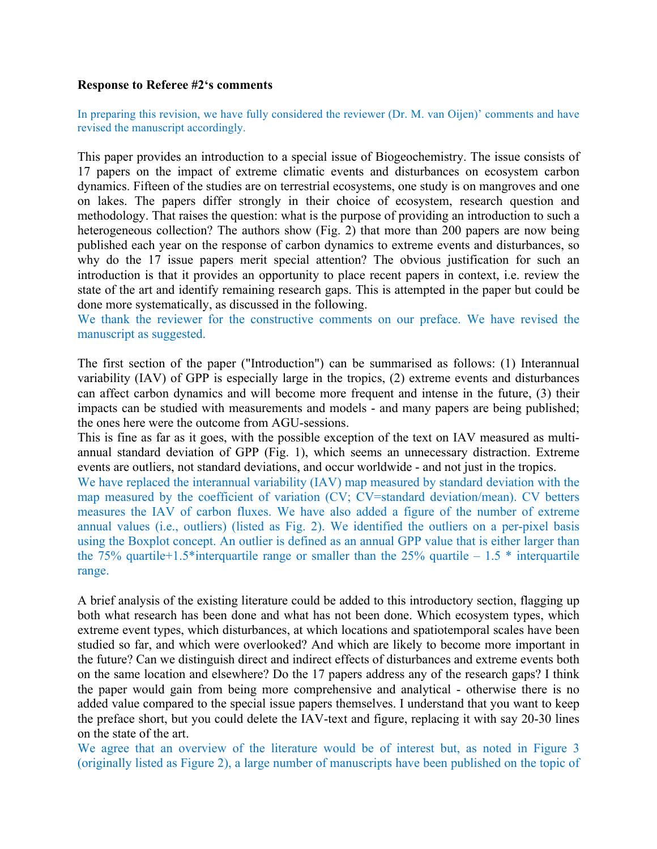## **Response to Referee #2's comments**

In preparing this revision, we have fully considered the reviewer (Dr. M. van Oijen)' comments and have revised the manuscript accordingly.

This paper provides an introduction to a special issue of Biogeochemistry. The issue consists of 17 papers on the impact of extreme climatic events and disturbances on ecosystem carbon dynamics. Fifteen of the studies are on terrestrial ecosystems, one study is on mangroves and one on lakes. The papers differ strongly in their choice of ecosystem, research question and methodology. That raises the question: what is the purpose of providing an introduction to such a heterogeneous collection? The authors show (Fig. 2) that more than 200 papers are now being published each year on the response of carbon dynamics to extreme events and disturbances, so why do the 17 issue papers merit special attention? The obvious justification for such an introduction is that it provides an opportunity to place recent papers in context, i.e. review the state of the art and identify remaining research gaps. This is attempted in the paper but could be done more systematically, as discussed in the following.

We thank the reviewer for the constructive comments on our preface. We have revised the manuscript as suggested.

The first section of the paper ("Introduction") can be summarised as follows: (1) Interannual variability (IAV) of GPP is especially large in the tropics, (2) extreme events and disturbances can affect carbon dynamics and will become more frequent and intense in the future, (3) their impacts can be studied with measurements and models - and many papers are being published; the ones here were the outcome from AGU-sessions.

This is fine as far as it goes, with the possible exception of the text on IAV measured as multiannual standard deviation of GPP (Fig. 1), which seems an unnecessary distraction. Extreme events are outliers, not standard deviations, and occur worldwide - and not just in the tropics.

We have replaced the interannual variability (IAV) map measured by standard deviation with the map measured by the coefficient of variation (CV; CV=standard deviation/mean). CV betters measures the IAV of carbon fluxes. We have also added a figure of the number of extreme annual values (i.e., outliers) (listed as Fig. 2). We identified the outliers on a per-pixel basis using the Boxplot concept. An outlier is defined as an annual GPP value that is either larger than the 75% quartile+1.5\*interquartile range or smaller than the 25% quartile – 1.5  $*$  interquartile range.

A brief analysis of the existing literature could be added to this introductory section, flagging up both what research has been done and what has not been done. Which ecosystem types, which extreme event types, which disturbances, at which locations and spatiotemporal scales have been studied so far, and which were overlooked? And which are likely to become more important in the future? Can we distinguish direct and indirect effects of disturbances and extreme events both on the same location and elsewhere? Do the 17 papers address any of the research gaps? I think the paper would gain from being more comprehensive and analytical - otherwise there is no added value compared to the special issue papers themselves. I understand that you want to keep the preface short, but you could delete the IAV-text and figure, replacing it with say 20-30 lines on the state of the art.

We agree that an overview of the literature would be of interest but, as noted in Figure 3 (originally listed as Figure 2), a large number of manuscripts have been published on the topic of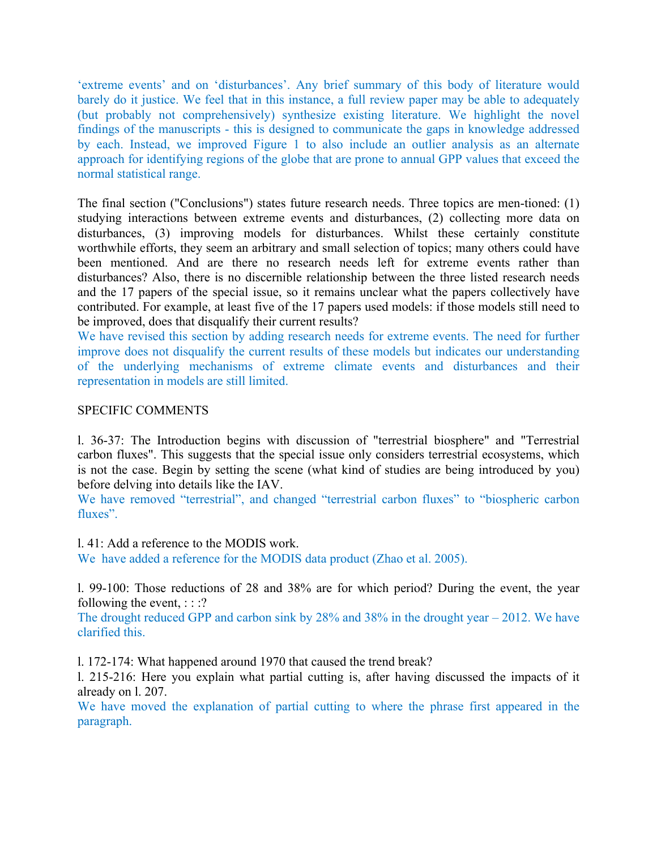'extreme events' and on 'disturbances'. Any brief summary of this body of literature would barely do it justice. We feel that in this instance, a full review paper may be able to adequately (but probably not comprehensively) synthesize existing literature. We highlight the novel findings of the manuscripts - this is designed to communicate the gaps in knowledge addressed by each. Instead, we improved Figure 1 to also include an outlier analysis as an alternate approach for identifying regions of the globe that are prone to annual GPP values that exceed the normal statistical range.

The final section ("Conclusions") states future research needs. Three topics are men-tioned: (1) studying interactions between extreme events and disturbances, (2) collecting more data on disturbances, (3) improving models for disturbances. Whilst these certainly constitute worthwhile efforts, they seem an arbitrary and small selection of topics; many others could have been mentioned. And are there no research needs left for extreme events rather than disturbances? Also, there is no discernible relationship between the three listed research needs and the 17 papers of the special issue, so it remains unclear what the papers collectively have contributed. For example, at least five of the 17 papers used models: if those models still need to be improved, does that disqualify their current results?

We have revised this section by adding research needs for extreme events. The need for further improve does not disqualify the current results of these models but indicates our understanding of the underlying mechanisms of extreme climate events and disturbances and their representation in models are still limited.

## SPECIFIC COMMENTS

l. 36-37: The Introduction begins with discussion of "terrestrial biosphere" and "Terrestrial carbon fluxes". This suggests that the special issue only considers terrestrial ecosystems, which is not the case. Begin by setting the scene (what kind of studies are being introduced by you) before delving into details like the IAV.

We have removed "terrestrial", and changed "terrestrial carbon fluxes" to "biospheric carbon fluxes".

l. 41: Add a reference to the MODIS work.

We have added a reference for the MODIS data product (Zhao et al. 2005).

l. 99-100: Those reductions of 28 and 38% are for which period? During the event, the year following the event,  $\therefore$  :?

The drought reduced GPP and carbon sink by 28% and 38% in the drought year – 2012. We have clarified this.

l. 172-174: What happened around 1970 that caused the trend break?

l. 215-216: Here you explain what partial cutting is, after having discussed the impacts of it already on l. 207.

We have moved the explanation of partial cutting to where the phrase first appeared in the paragraph.